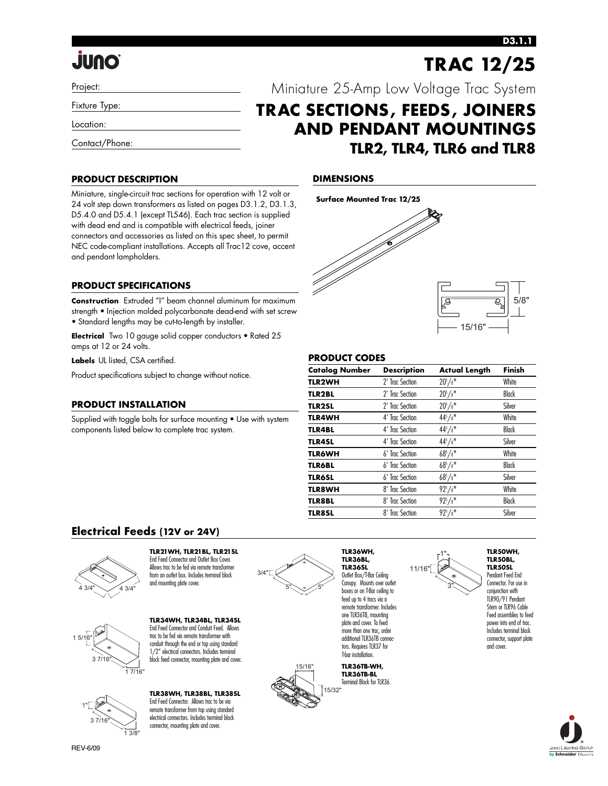# **JUNO**

### Project:

Fixture Type:

Location:

Contact/Phone:

## **PRODUCT DESCRIPTION**

Miniature, single-circuit trac sections for operation with 12 volt or 24 volt step down transformers as listed on pages D3.1.2, D3.1.3, D5.4.0 and D5.4.1 (except TL546). Each trac section is supplied with dead end and is compatible with electrical feeds, joiner connectors and accessories as listed on this spec sheet, to permit NEC code-compliant installations. Accepts all Trac12 cove, accent and pendant lampholders.

## **PRODUCT SPECIFICATIONS**

**Construction** Extruded "I" beam channel aluminum for maximum strength • Injection molded polycarbonate dead-end with set screw • Standard lengths may be cut-to-length by installer.

**Electrical** Two 10 gauge solid copper conductors • Rated 25 amps at 12 or 24 volts.

**Labels** UL listed, CSA certified.

Product specifications subject to change without notice.

### **PRODUCT INSTALLATION**

Supplied with toggle bolts for surface mounting • Use with system components listed below to complete trac system.

## **DIMENSIONS**



Miniature 25-Amp Low Voltage Trac System

**AND PENDANT MOUNTINGS**

**TLR2, TLR4, TLR6 and TLR8**

**TRAC SECTIONS, FEEDS, JOINERS**

## **PRODUCT CODES**

| <b>Catalog Number</b> | <b>Description</b> | <b>Actual Length</b> | Finish       |
|-----------------------|--------------------|----------------------|--------------|
| <b>TLR2WH</b>         | 2' Trac Section    | $20^{5}/8$ "         | White        |
| <b>TLR2BL</b>         | 2' Trac Section    | $20^{5}/8$ "         | <b>Black</b> |
| <b>TLR2SL</b>         | 2' Trac Section    | $20^{5}/8$ "         | Silver       |
| <b>TLR4WH</b>         | 4' Trac Section    | $44^{5}/8$ "         | White        |
| <b>TLR4BL</b>         | 4' Trac Section    | $44^{5}/8$ "         | Black        |
| <b>TLR4SL</b>         | 4' Trac Section    | $44^{5}/8$ "         | Silver       |
| <b>TLR6WH</b>         | 6' Trac Section    | $68^{5}/8$ "         | White        |
| <b>TLR6BL</b>         | 6' Trac Section    | $68^{5}/8$ "         | <b>Black</b> |
| <b>TLR6SL</b>         | 6' Trac Section    | $68^{5}/8$ "         | Silver       |
| <b>TLR8WH</b>         | 8' Trac Section    | $92^{5}/8$ "         | White        |
| <b>TLR8BL</b>         | 8' Trac Section    | $92^{5}/8$ "         | <b>Black</b> |
| <b>TLR8SL</b>         | 8' Trac Section    | $92^{5}/8$ "         | Silver       |

## **Electrical Feeds (12V or 24V)**



#### **TLR21WH, TLR21BL, TLR21SL** End Feed Connector and Outlet Box Cover. Allows trac to be fed via remote transformer from an outlet box. Includes terminal block and mounting plate cover.



1 7/16"

**TLR34WH, TLR34BL, TLR34SL** End Feed Connector and Conduit Feed. Allows trac to be fed via remote transformer with conduit through the end or top using standard 1/2" electrical connectors. Includes terminal block feed connector, mounting plate and cover.



**TLR38WH, TLR38BL, TLR38SL** End Feed Connector. Allows trac to be via remote transformer from top using standard electrical connectors. Includes terminal block connector, mounting plate and cover.



15/16"

15/32"

**TLR36SL** Outlet Box/T-Bar Ceiling feed up to 4 tracs via a one TLR36TB, mounting plate and cover. To feed more than one trac, order tors. Requires TLR37 for T-bar installation.

**TLR36TB-WH, TLR36TB-BL** Terminal Block for TLR36



**TLR50BL, TLR50SL** Pendant Feed End Connector. For use in conjunction with TLR90/91 Pendant Stem or TLR96 Cable Feed assemblies to feed power into end of trac.

Includes terminal block connector, support plate and cover.



## **D3.1.1**

**TRAC 12/25** 

Canopy. Mounts over outlet boxes or on T-Bar ceiling to remote transformer. Includes additional TLR36TB connec-